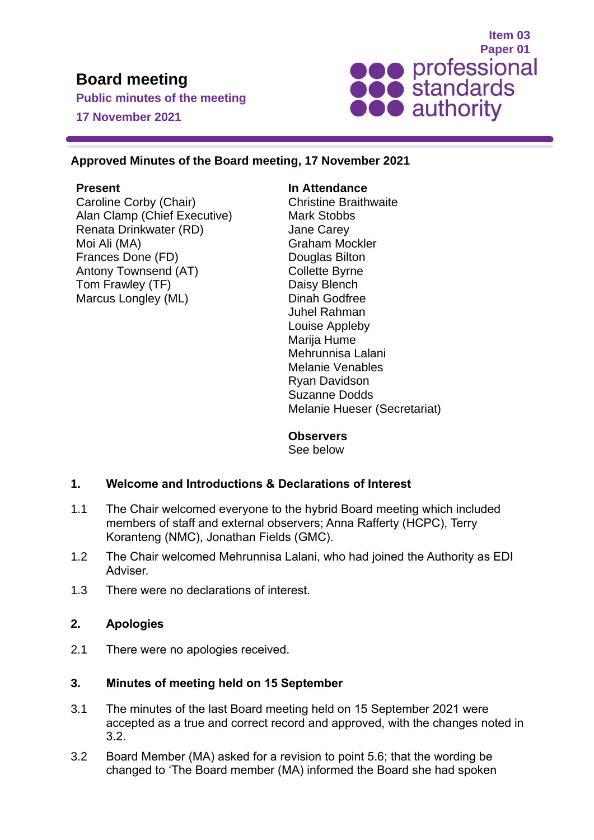# **Board meeting**

**Public minutes of the meeting 17 November 2021**



#### **Approved Minutes of the Board meeting, 17 November 2021**

#### **Present**

Caroline Corby (Chair) Alan Clamp (Chief Executive) Renata Drinkwater (RD) Moi Ali (MA) Frances Done (FD) Antony Townsend (AT) Tom Frawley (TF) Marcus Longley (ML)

#### **In Attendance**

Christine Braithwaite Mark Stobbs Jane Carey Graham Mockler Douglas Bilton Collette Byrne Daisy Blench Dinah Godfree Juhel Rahman Louise Appleby Marija Hume Mehrunnisa Lalani Melanie Venables Ryan Davidson Suzanne Dodds Melanie Hueser (Secretariat)

#### **Observers**

See below

## **1. Welcome and Introductions & Declarations of Interest**

- 1.1 The Chair welcomed everyone to the hybrid Board meeting which included members of staff and external observers; Anna Rafferty (HCPC), Terry Koranteng (NMC), Jonathan Fields (GMC).
- 1.2 The Chair welcomed Mehrunnisa Lalani, who had joined the Authority as EDI Adviser.
- 1.3 There were no declarations of interest.

#### **2. Apologies**

2.1 There were no apologies received.

## **3. Minutes of meeting held on 15 September**

- 3.1 The minutes of the last Board meeting held on 15 September 2021 were accepted as a true and correct record and approved, with the changes noted in 3.2.
- 3.2 Board Member (MA) asked for a revision to point 5.6; that the wording be changed to 'The Board member (MA) informed the Board she had spoken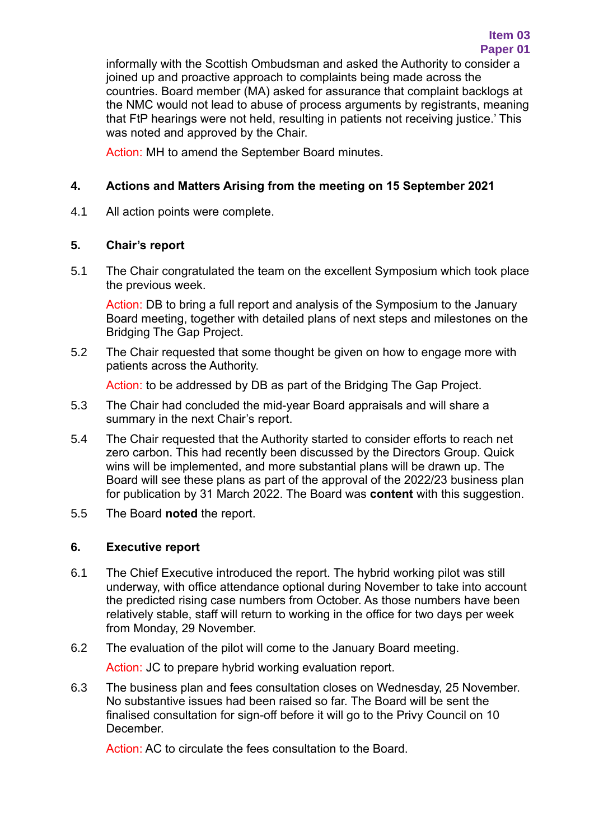informally with the Scottish Ombudsman and asked the Authority to consider a joined up and proactive approach to complaints being made across the countries. Board member (MA) asked for assurance that complaint backlogs at the NMC would not lead to abuse of process arguments by registrants, meaning that FtP hearings were not held, resulting in patients not receiving justice.' This was noted and approved by the Chair.

Action: MH to amend the September Board minutes.

## **4. Actions and Matters Arising from the meeting on 15 September 2021**

4.1 All action points were complete.

## **5. Chair's report**

5.1 The Chair congratulated the team on the excellent Symposium which took place the previous week.

Action: DB to bring a full report and analysis of the Symposium to the January Board meeting, together with detailed plans of next steps and milestones on the Bridging The Gap Project.

5.2 The Chair requested that some thought be given on how to engage more with patients across the Authority.

Action: to be addressed by DB as part of the Bridging The Gap Project.

- 5.3 The Chair had concluded the mid-year Board appraisals and will share a summary in the next Chair's report.
- 5.4 The Chair requested that the Authority started to consider efforts to reach net zero carbon. This had recently been discussed by the Directors Group. Quick wins will be implemented, and more substantial plans will be drawn up. The Board will see these plans as part of the approval of the 2022/23 business plan for publication by 31 March 2022. The Board was **content** with this suggestion.
- 5.5 The Board **noted** the report.

## **6. Executive report**

- 6.1 The Chief Executive introduced the report. The hybrid working pilot was still underway, with office attendance optional during November to take into account the predicted rising case numbers from October. As those numbers have been relatively stable, staff will return to working in the office for two days per week from Monday, 29 November.
- 6.2 The evaluation of the pilot will come to the January Board meeting.

Action: JC to prepare hybrid working evaluation report.

6.3 The business plan and fees consultation closes on Wednesday, 25 November. No substantive issues had been raised so far. The Board will be sent the finalised consultation for sign-off before it will go to the Privy Council on 10 **December** 

Action: AC to circulate the fees consultation to the Board.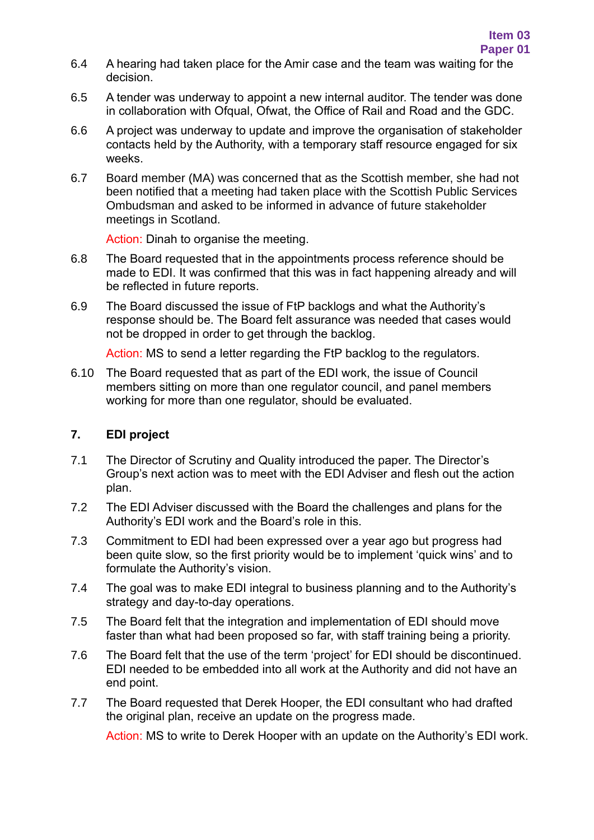- 6.4 A hearing had taken place for the Amir case and the team was waiting for the decision.
- 6.5 A tender was underway to appoint a new internal auditor. The tender was done in collaboration with Ofqual, Ofwat, the Office of Rail and Road and the GDC.
- 6.6 A project was underway to update and improve the organisation of stakeholder contacts held by the Authority, with a temporary staff resource engaged for six weeks.
- 6.7 Board member (MA) was concerned that as the Scottish member, she had not been notified that a meeting had taken place with the Scottish Public Services Ombudsman and asked to be informed in advance of future stakeholder meetings in Scotland.

Action: Dinah to organise the meeting.

- 6.8 The Board requested that in the appointments process reference should be made to EDI. It was confirmed that this was in fact happening already and will be reflected in future reports.
- 6.9 The Board discussed the issue of FtP backlogs and what the Authority's response should be. The Board felt assurance was needed that cases would not be dropped in order to get through the backlog.

Action: MS to send a letter regarding the FtP backlog to the regulators.

6.10 The Board requested that as part of the EDI work, the issue of Council members sitting on more than one regulator council, and panel members working for more than one regulator, should be evaluated.

## **7. EDI project**

- 7.1 The Director of Scrutiny and Quality introduced the paper. The Director's Group's next action was to meet with the EDI Adviser and flesh out the action plan.
- 7.2 The EDI Adviser discussed with the Board the challenges and plans for the Authority's EDI work and the Board's role in this.
- 7.3 Commitment to EDI had been expressed over a year ago but progress had been quite slow, so the first priority would be to implement 'quick wins' and to formulate the Authority's vision.
- 7.4 The goal was to make EDI integral to business planning and to the Authority's strategy and day-to-day operations.
- 7.5 The Board felt that the integration and implementation of EDI should move faster than what had been proposed so far, with staff training being a priority.
- 7.6 The Board felt that the use of the term 'project' for EDI should be discontinued. EDI needed to be embedded into all work at the Authority and did not have an end point.
- 7.7 The Board requested that Derek Hooper, the EDI consultant who had drafted the original plan, receive an update on the progress made.

Action: MS to write to Derek Hooper with an update on the Authority's EDI work.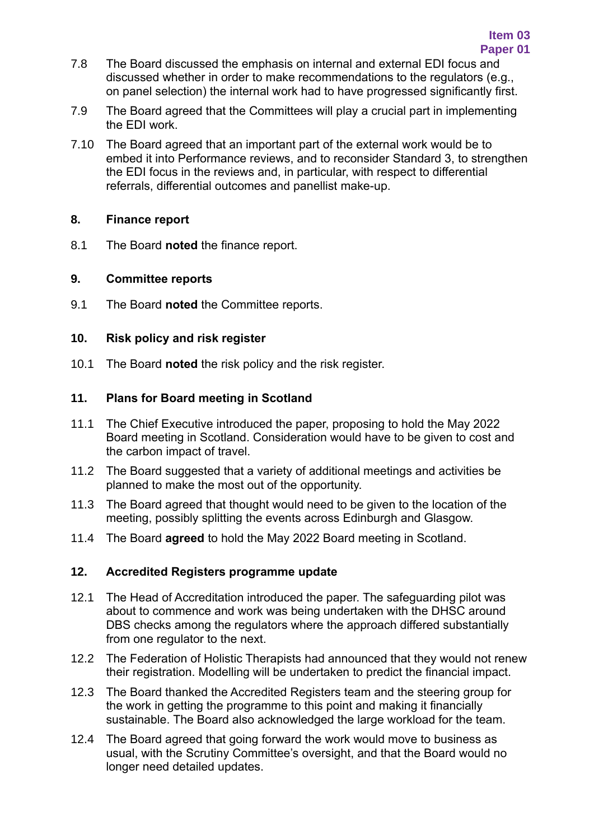- 7.8 The Board discussed the emphasis on internal and external EDI focus and discussed whether in order to make recommendations to the regulators (e.g., on panel selection) the internal work had to have progressed significantly first.
- 7.9 The Board agreed that the Committees will play a crucial part in implementing the EDI work.
- 7.10 The Board agreed that an important part of the external work would be to embed it into Performance reviews, and to reconsider Standard 3, to strengthen the EDI focus in the reviews and, in particular, with respect to differential referrals, differential outcomes and panellist make-up.

#### **8. Finance report**

8.1 The Board **noted** the finance report.

## **9. Committee reports**

9.1 The Board **noted** the Committee reports.

## **10. Risk policy and risk register**

10.1 The Board **noted** the risk policy and the risk register.

## **11. Plans for Board meeting in Scotland**

- 11.1 The Chief Executive introduced the paper, proposing to hold the May 2022 Board meeting in Scotland. Consideration would have to be given to cost and the carbon impact of travel.
- 11.2 The Board suggested that a variety of additional meetings and activities be planned to make the most out of the opportunity.
- 11.3 The Board agreed that thought would need to be given to the location of the meeting, possibly splitting the events across Edinburgh and Glasgow.
- 11.4 The Board **agreed** to hold the May 2022 Board meeting in Scotland.

## **12. Accredited Registers programme update**

- 12.1 The Head of Accreditation introduced the paper. The safeguarding pilot was about to commence and work was being undertaken with the DHSC around DBS checks among the regulators where the approach differed substantially from one regulator to the next.
- 12.2 The Federation of Holistic Therapists had announced that they would not renew their registration. Modelling will be undertaken to predict the financial impact.
- 12.3 The Board thanked the Accredited Registers team and the steering group for the work in getting the programme to this point and making it financially sustainable. The Board also acknowledged the large workload for the team.
- 12.4 The Board agreed that going forward the work would move to business as usual, with the Scrutiny Committee's oversight, and that the Board would no longer need detailed updates.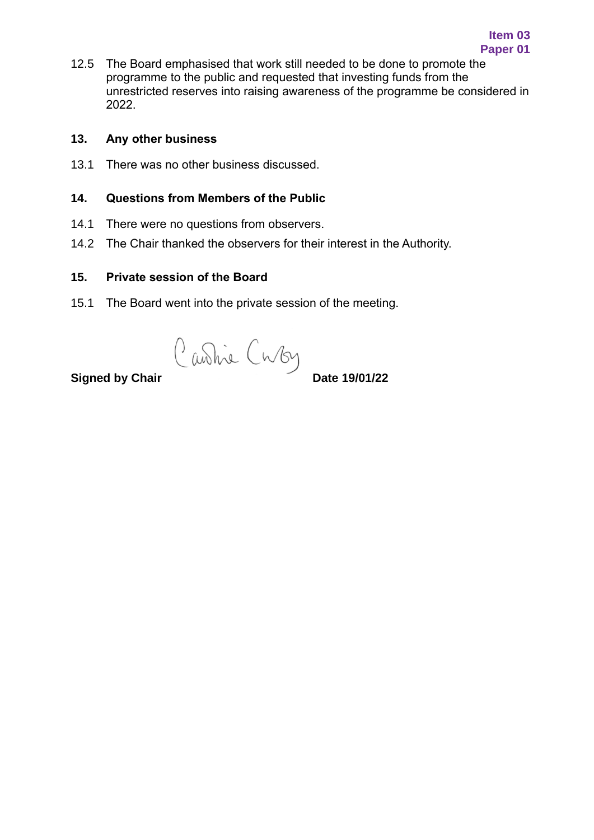12.5 The Board emphasised that work still needed to be done to promote the programme to the public and requested that investing funds from the unrestricted reserves into raising awareness of the programme be considered in 2022.

#### **13. Any other business**

13.1 There was no other business discussed.

#### **14. Questions from Members of the Public**

- 14.1 There were no questions from observers.
- 14.2 The Chair thanked the observers for their interest in the Authority.

#### **15. Private session of the Board**

15.1 The Board went into the private session of the meeting.

**Signed by Chair** Cuvby<br>**Signed by Chair**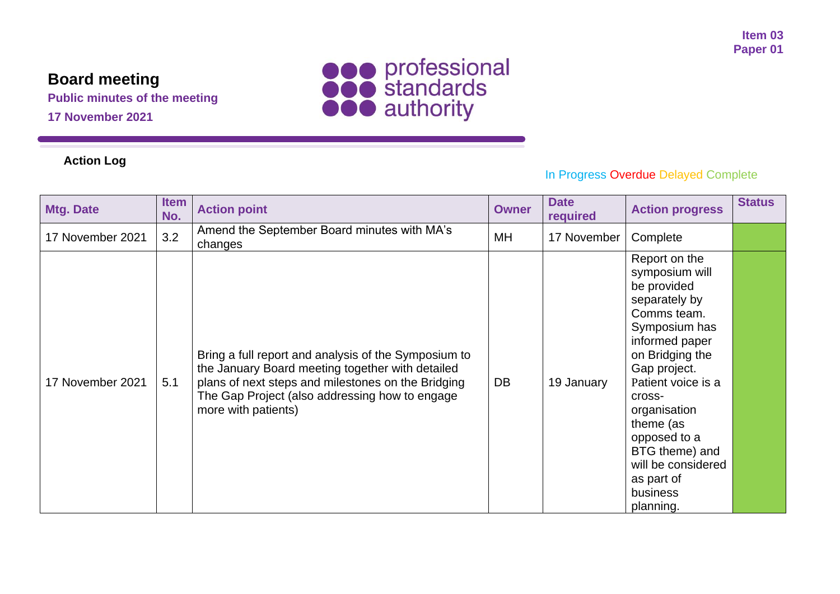# **Board meeting**

**Public minutes of the meeting**

**17 November 2021**



## **Action Log**

# In Progress Overdue Delayed Complete

| <b>Mtg. Date</b> | <b>Item</b><br>No. | <b>Action point</b>                                                                                                                                                                                                                     | <b>Owner</b> | <b>Date</b><br>required | <b>Action progress</b>                                                                                                                                                                                                                                                                                           | <b>Status</b> |
|------------------|--------------------|-----------------------------------------------------------------------------------------------------------------------------------------------------------------------------------------------------------------------------------------|--------------|-------------------------|------------------------------------------------------------------------------------------------------------------------------------------------------------------------------------------------------------------------------------------------------------------------------------------------------------------|---------------|
| 17 November 2021 | 3.2                | Amend the September Board minutes with MA's<br>changes                                                                                                                                                                                  | MH           | 17 November             | Complete                                                                                                                                                                                                                                                                                                         |               |
| 17 November 2021 | 5.1                | Bring a full report and analysis of the Symposium to<br>the January Board meeting together with detailed<br>plans of next steps and milestones on the Bridging<br>The Gap Project (also addressing how to engage<br>more with patients) | <b>DB</b>    | 19 January              | Report on the<br>symposium will<br>be provided<br>separately by<br>Comms team.<br>Symposium has<br>informed paper<br>on Bridging the<br>Gap project.<br>Patient voice is a<br>cross-<br>organisation<br>theme (as<br>opposed to a<br>BTG theme) and<br>will be considered<br>as part of<br>business<br>planning. |               |